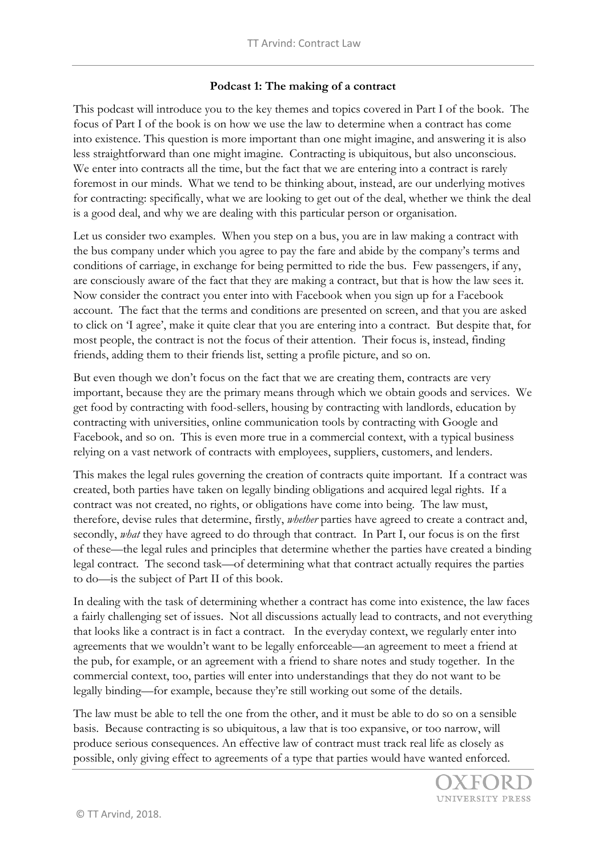## **Podcast 1: The making of a contract**

This podcast will introduce you to the key themes and topics covered in Part I of the book. The focus of Part I of the book is on how we use the law to determine when a contract has come into existence. This question is more important than one might imagine, and answering it is also less straightforward than one might imagine. Contracting is ubiquitous, but also unconscious. We enter into contracts all the time, but the fact that we are entering into a contract is rarely foremost in our minds. What we tend to be thinking about, instead, are our underlying motives for contracting: specifically, what we are looking to get out of the deal, whether we think the deal is a good deal, and why we are dealing with this particular person or organisation.

Let us consider two examples. When you step on a bus, you are in law making a contract with the bus company under which you agree to pay the fare and abide by the company's terms and conditions of carriage, in exchange for being permitted to ride the bus. Few passengers, if any, are consciously aware of the fact that they are making a contract, but that is how the law sees it. Now consider the contract you enter into with Facebook when you sign up for a Facebook account. The fact that the terms and conditions are presented on screen, and that you are asked to click on 'I agree', make it quite clear that you are entering into a contract. But despite that, for most people, the contract is not the focus of their attention. Their focus is, instead, finding friends, adding them to their friends list, setting a profile picture, and so on.

But even though we don't focus on the fact that we are creating them, contracts are very important, because they are the primary means through which we obtain goods and services. We get food by contracting with food-sellers, housing by contracting with landlords, education by contracting with universities, online communication tools by contracting with Google and Facebook, and so on. This is even more true in a commercial context, with a typical business relying on a vast network of contracts with employees, suppliers, customers, and lenders.

This makes the legal rules governing the creation of contracts quite important. If a contract was created, both parties have taken on legally binding obligations and acquired legal rights. If a contract was not created, no rights, or obligations have come into being. The law must, therefore, devise rules that determine, firstly, *whether* parties have agreed to create a contract and, secondly, *what* they have agreed to do through that contract. In Part I, our focus is on the first of these—the legal rules and principles that determine whether the parties have created a binding legal contract. The second task—of determining what that contract actually requires the parties to do—is the subject of Part II of this book.

In dealing with the task of determining whether a contract has come into existence, the law faces a fairly challenging set of issues. Not all discussions actually lead to contracts, and not everything that looks like a contract is in fact a contract. In the everyday context, we regularly enter into agreements that we wouldn't want to be legally enforceable—an agreement to meet a friend at the pub, for example, or an agreement with a friend to share notes and study together. In the commercial context, too, parties will enter into understandings that they do not want to be legally binding—for example, because they're still working out some of the details.

The law must be able to tell the one from the other, and it must be able to do so on a sensible basis. Because contracting is so ubiquitous, a law that is too expansive, or too narrow, will produce serious consequences. An effective law of contract must track real life as closely as possible, only giving effect to agreements of a type that parties would have wanted enforced.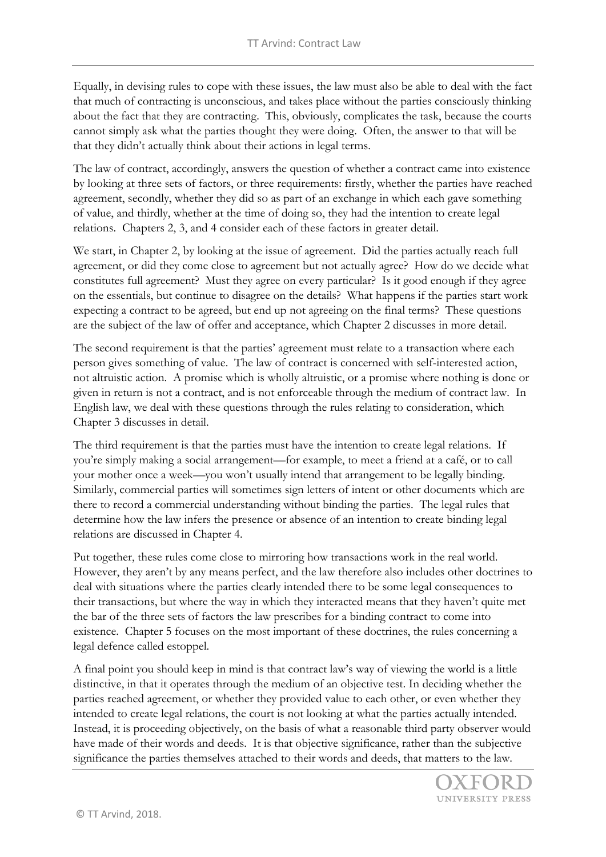Equally, in devising rules to cope with these issues, the law must also be able to deal with the fact that much of contracting is unconscious, and takes place without the parties consciously thinking about the fact that they are contracting. This, obviously, complicates the task, because the courts cannot simply ask what the parties thought they were doing. Often, the answer to that will be that they didn't actually think about their actions in legal terms.

The law of contract, accordingly, answers the question of whether a contract came into existence by looking at three sets of factors, or three requirements: firstly, whether the parties have reached agreement, secondly, whether they did so as part of an exchange in which each gave something of value, and thirdly, whether at the time of doing so, they had the intention to create legal relations. Chapters 2, 3, and 4 consider each of these factors in greater detail.

We start, in Chapter 2, by looking at the issue of agreement. Did the parties actually reach full agreement, or did they come close to agreement but not actually agree? How do we decide what constitutes full agreement? Must they agree on every particular? Is it good enough if they agree on the essentials, but continue to disagree on the details? What happens if the parties start work expecting a contract to be agreed, but end up not agreeing on the final terms? These questions are the subject of the law of offer and acceptance, which Chapter 2 discusses in more detail.

The second requirement is that the parties' agreement must relate to a transaction where each person gives something of value. The law of contract is concerned with self-interested action, not altruistic action. A promise which is wholly altruistic, or a promise where nothing is done or given in return is not a contract, and is not enforceable through the medium of contract law. In English law, we deal with these questions through the rules relating to consideration, which Chapter 3 discusses in detail.

The third requirement is that the parties must have the intention to create legal relations. If you're simply making a social arrangement—for example, to meet a friend at a café, or to call your mother once a week—you won't usually intend that arrangement to be legally binding. Similarly, commercial parties will sometimes sign letters of intent or other documents which are there to record a commercial understanding without binding the parties. The legal rules that determine how the law infers the presence or absence of an intention to create binding legal relations are discussed in Chapter 4.

Put together, these rules come close to mirroring how transactions work in the real world. However, they aren't by any means perfect, and the law therefore also includes other doctrines to deal with situations where the parties clearly intended there to be some legal consequences to their transactions, but where the way in which they interacted means that they haven't quite met the bar of the three sets of factors the law prescribes for a binding contract to come into existence. Chapter 5 focuses on the most important of these doctrines, the rules concerning a legal defence called estoppel.

A final point you should keep in mind is that contract law's way of viewing the world is a little distinctive, in that it operates through the medium of an objective test. In deciding whether the parties reached agreement, or whether they provided value to each other, or even whether they intended to create legal relations, the court is not looking at what the parties actually intended. Instead, it is proceeding objectively, on the basis of what a reasonable third party observer would have made of their words and deeds. It is that objective significance, rather than the subjective significance the parties themselves attached to their words and deeds, that matters to the law.